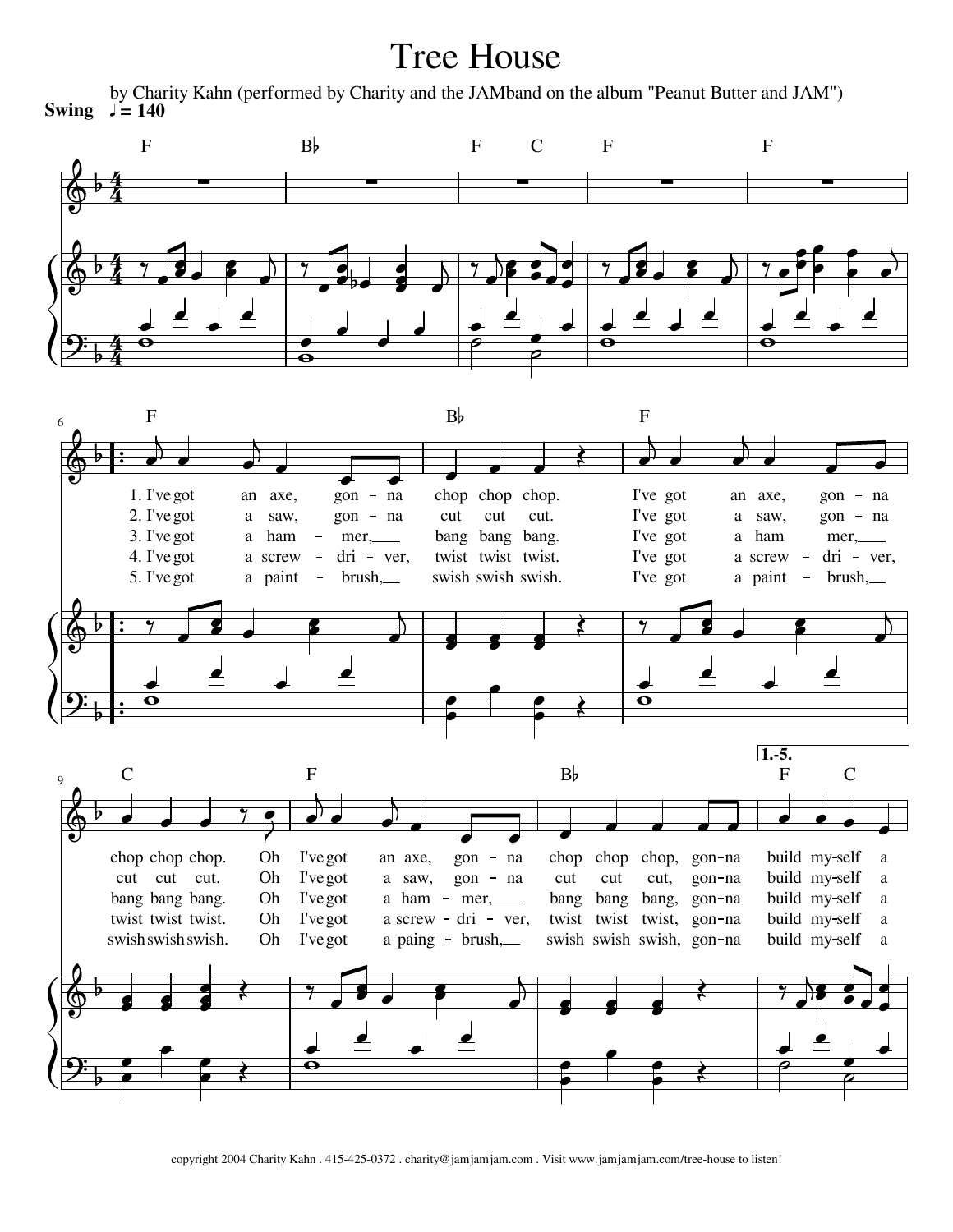## Tree House

by Charity Kahn (performed by Charity and the JAMband on the album "Peanut Butter and JAM") **Swing**  $\sqrt{ }$  = 140

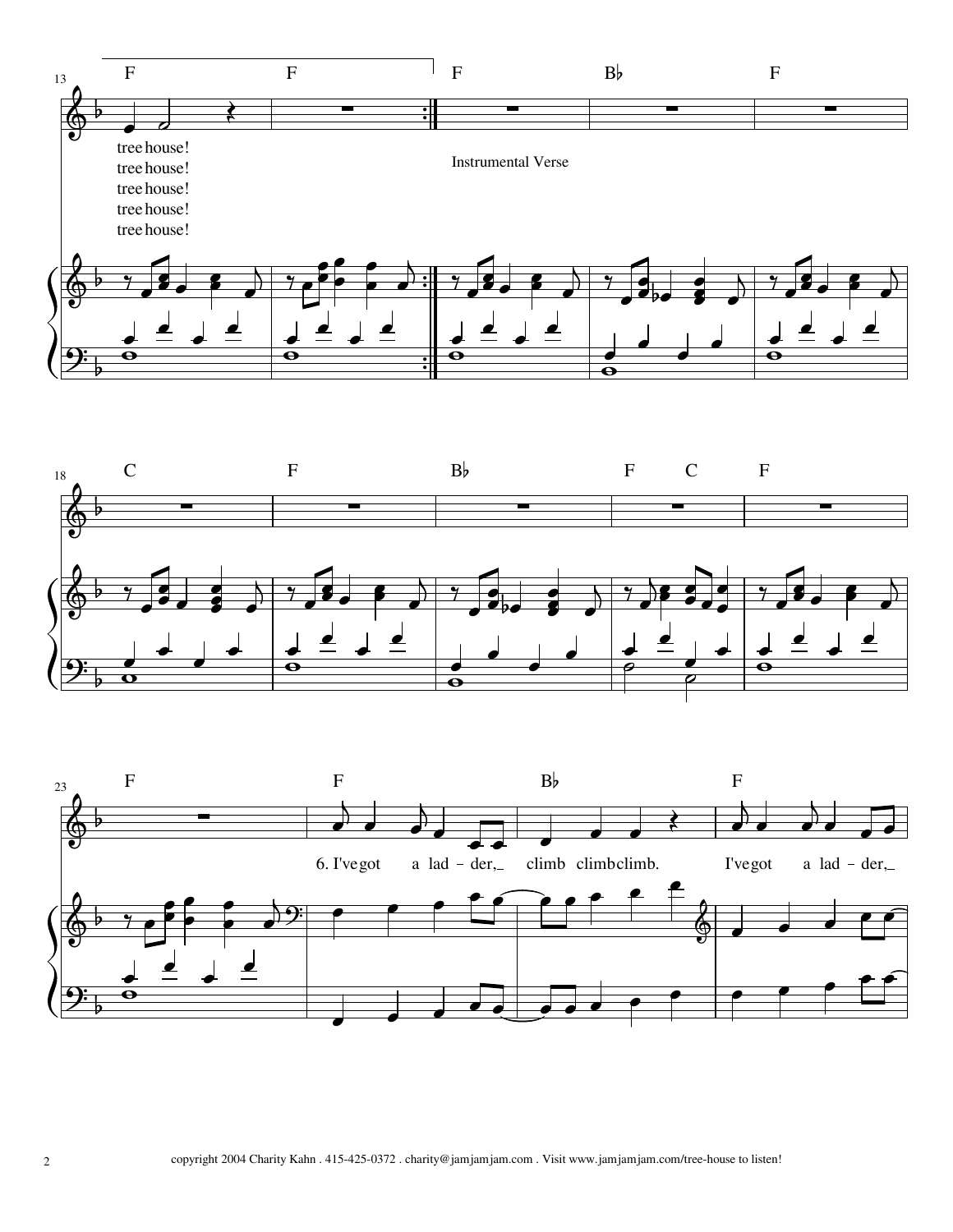



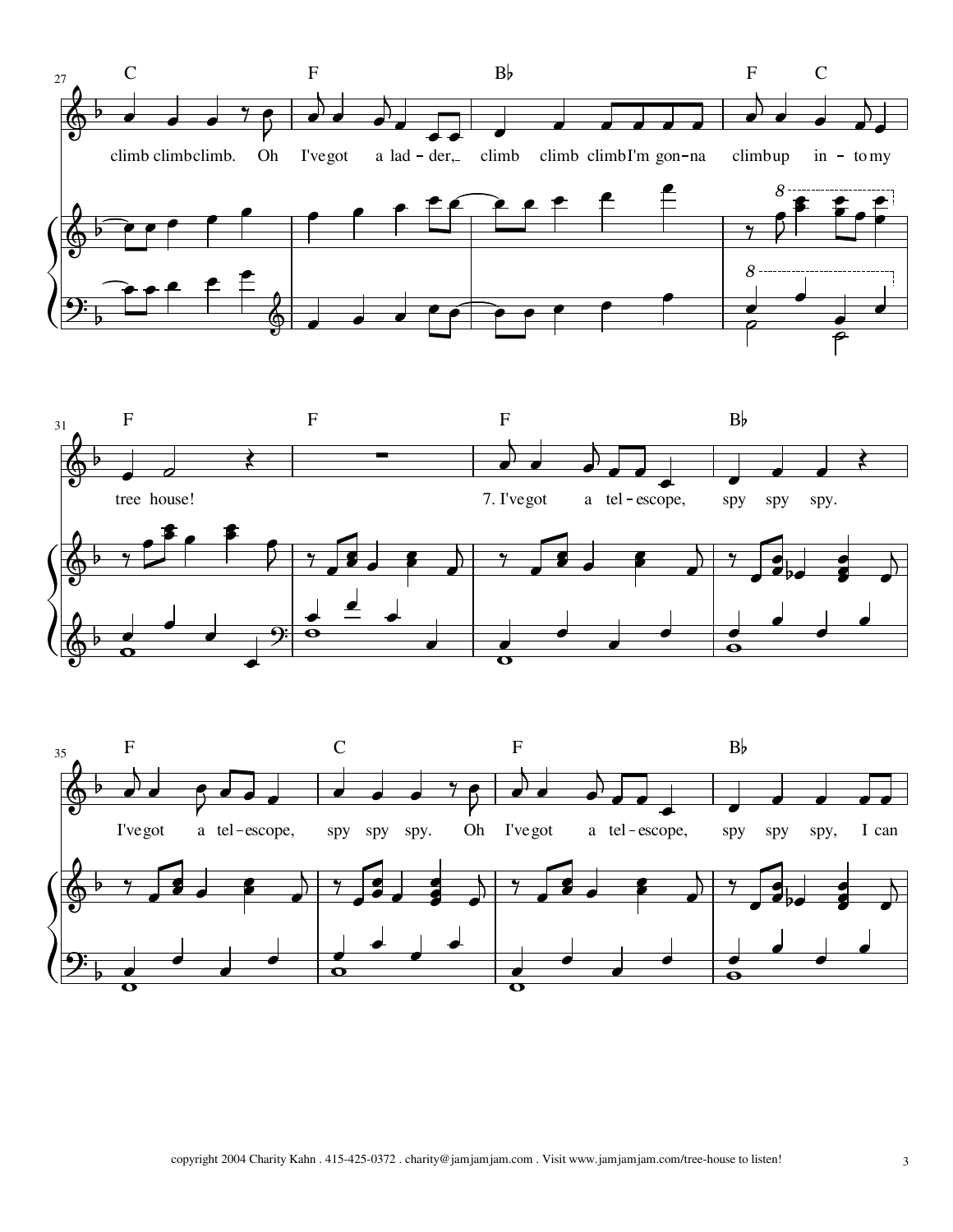